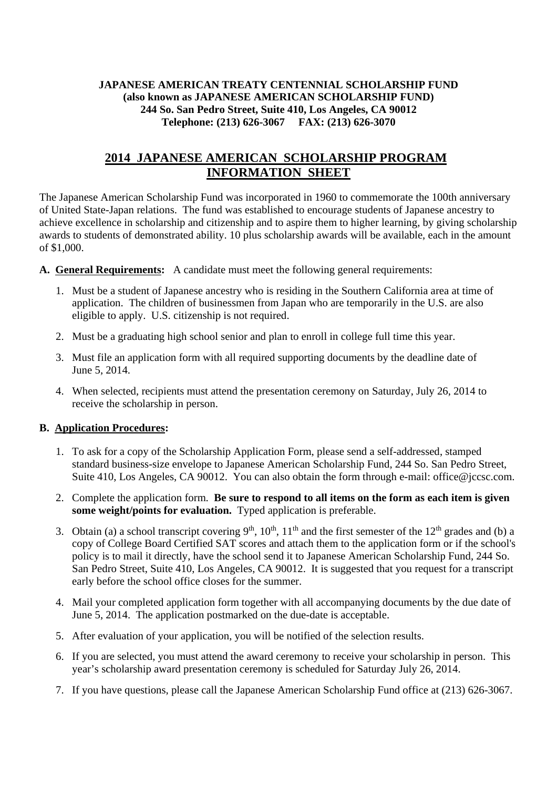## **JAPANESE AMERICAN TREATY CENTENNIAL SCHOLARSHIP FUND (also known as JAPANESE AMERICAN SCHOLARSHIP FUND) 244 So. San Pedro Street, Suite 410, Los Angeles, CA 90012 Telephone: (213) 626-3067 FAX: (213) 626-3070**

## **2014 JAPANESE AMERICAN SCHOLARSHIP PROGRAM INFORMATION SHEET**

The Japanese American Scholarship Fund was incorporated in 1960 to commemorate the 100th anniversary of United State-Japan relations. The fund was established to encourage students of Japanese ancestry to achieve excellence in scholarship and citizenship and to aspire them to higher learning, by giving scholarship awards to students of demonstrated ability. 10 plus scholarship awards will be available, each in the amount of \$1,000.

**A. General Requirements:** A candidate must meet the following general requirements:

- 1. Must be a student of Japanese ancestry who is residing in the Southern California area at time of application. The children of businessmen from Japan who are temporarily in the U.S. are also eligible to apply. U.S. citizenship is not required.
- 2. Must be a graduating high school senior and plan to enroll in college full time this year.
- 3. Must file an application form with all required supporting documents by the deadline date of June 5, 2014.
- 4. When selected, recipients must attend the presentation ceremony on Saturday, July 26, 2014 to receive the scholarship in person.

## **B. Application Procedures:**

- 1. To ask for a copy of the Scholarship Application Form, please send a self-addressed, stamped standard business-size envelope to Japanese American Scholarship Fund, 244 So. San Pedro Street, Suite 410, Los Angeles, CA 90012. You can also obtain the form through e-mail: office@jccsc.com.
- 2. Complete the application form. **Be sure to respond to all items on the form as each item is given some weight/points for evaluation.** Typed application is preferable.
- 3. Obtain (a) a school transcript covering 9<sup>th</sup>, 10<sup>th</sup>, 11<sup>th</sup> and the first semester of the 12<sup>th</sup> grades and (b) a copy of College Board Certified SAT scores and attach them to the application form or if the school's policy is to mail it directly, have the school send it to Japanese American Scholarship Fund, 244 So. San Pedro Street, Suite 410, Los Angeles, CA 90012. It is suggested that you request for a transcript early before the school office closes for the summer.
- 4. Mail your completed application form together with all accompanying documents by the due date of June 5, 2014. The application postmarked on the due-date is acceptable.
- 5. After evaluation of your application, you will be notified of the selection results.
- 6. If you are selected, you must attend the award ceremony to receive your scholarship in person. This year's scholarship award presentation ceremony is scheduled for Saturday July 26, 2014.
- 7. If you have questions, please call the Japanese American Scholarship Fund office at (213) 626-3067.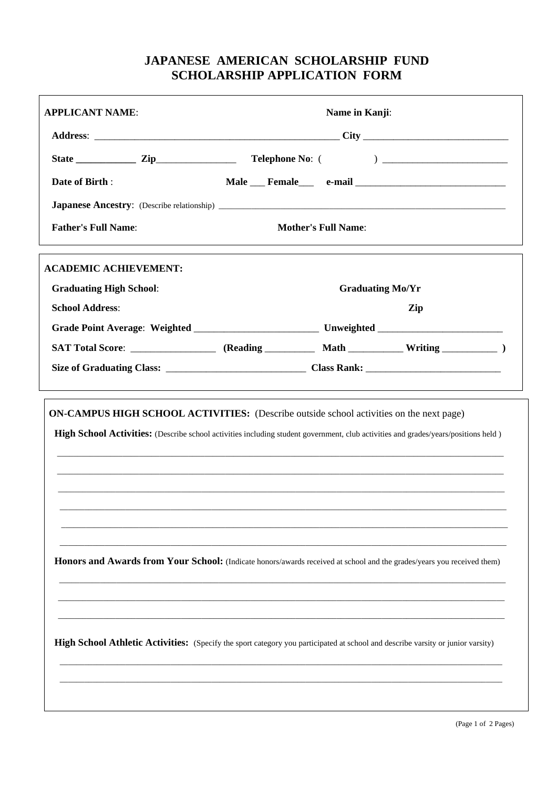## **JAPANESE AMERICAN SCHOLARSHIP FUND SCHOLARSHIP APPLICATION FORM**

| <b>APPLICANT NAME:</b>         | Name in Kanji:                                                                                                                     |  |
|--------------------------------|------------------------------------------------------------------------------------------------------------------------------------|--|
|                                |                                                                                                                                    |  |
|                                |                                                                                                                                    |  |
| Date of Birth:                 |                                                                                                                                    |  |
|                                |                                                                                                                                    |  |
| <b>Father's Full Name:</b>     | <b>Mother's Full Name:</b>                                                                                                         |  |
| <b>ACADEMIC ACHIEVEMENT:</b>   |                                                                                                                                    |  |
| <b>Graduating High School:</b> | <b>Graduating Mo/Yr</b>                                                                                                            |  |
| <b>School Address:</b>         | Zip                                                                                                                                |  |
|                                |                                                                                                                                    |  |
|                                |                                                                                                                                    |  |
|                                |                                                                                                                                    |  |
|                                | High School Activities: (Describe school activities including student government, club activities and grades/years/positions held) |  |
|                                | Honors and Awards from Your School: (Indicate honors/awards received at school and the grades/years you received them)             |  |
|                                | High School Athletic Activities: (Specify the sport category you participated at school and describe varsity or junior varsity)    |  |
|                                |                                                                                                                                    |  |